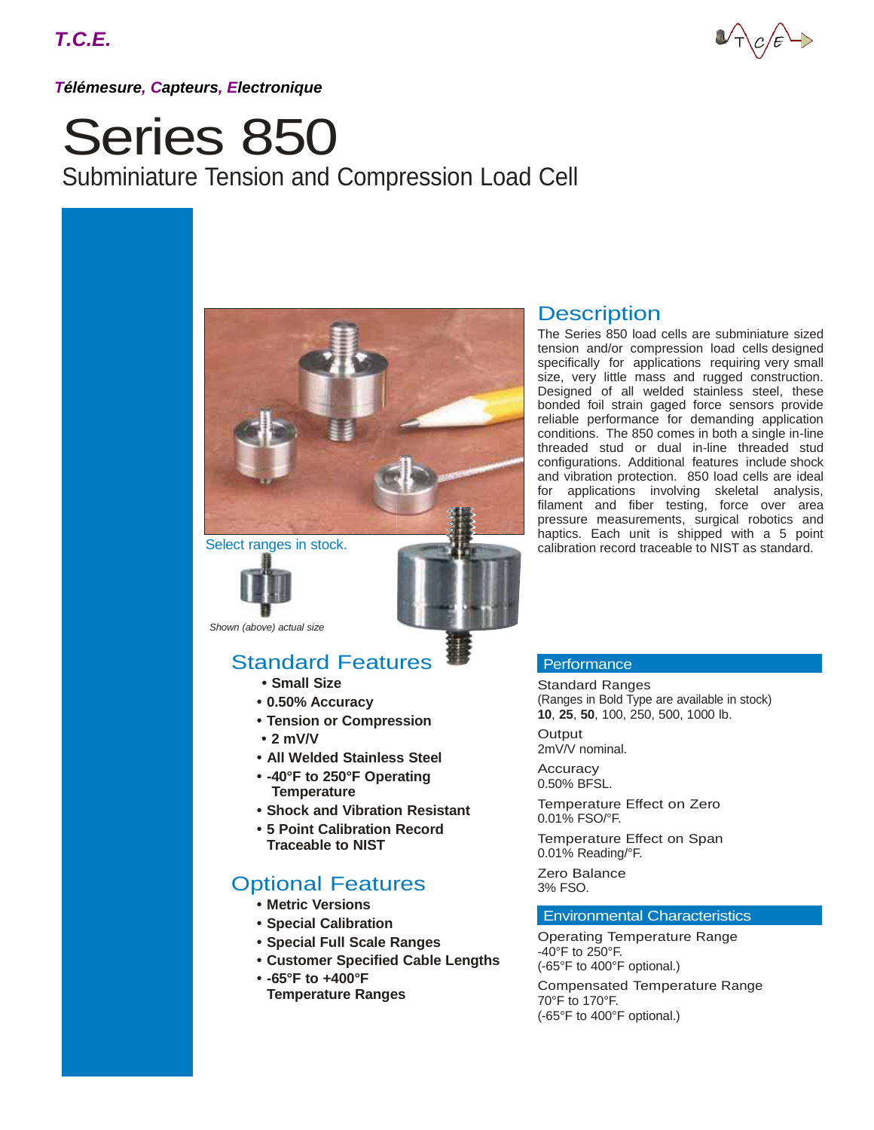

*Télémesure, Capteurs, Electronique*

# Series 850 Subminiature Tension and Compression Load Cell



Select ranges in stock.



*Shown (above) actual size*

## Standard Features

- **• Small Size**
- **• 0.50% Accuracy**
- **• Tension or Compression**
- **• 2 mV/V**
- **• All Welded Stainless Steel**
- **• -40°F to 250°F Operating Temperature**
- **• Shock and Vibration Resistant**
- **• 5 Point Calibration Record Traceable to NIST**

## Optional Features

- **• Metric Versions**
- **• Special Calibration**
- **• Special Full Scale Ranges**
- **• Customer Specified Cable Lengths**
- **• -65°F to +400°F Temperature Ranges**

### **Description**

The Series 850 load cells are subminiature sized tension and/or compression load cells designed specifically for applications requiring very small size, very little mass and rugged construction. Designed of all welded stainless steel, these bonded foil strain gaged force sensors provide reliable performance for demanding application conditions. The 850 comes in both a single in-line threaded stud or dual in-line threaded stud configurations. Additional features include shock and vibration protection. 850 load cells are ideal for applications involving skeletal analysis, filament and fiber testing, force over area pressure measurements, surgical robotics and haptics. Each unit is shipped with a 5 point calibration record traceable to NIST as standard.

#### **Performance**

Standard Ranges (Ranges in Bold Type are available in stock) **10**, **25**, **50**, 100, 250, 500, 1000 lb.

**Output** 2mV/V nominal.

**Accuracy** 0.50% BFSL.

Temperature Effect on Zero 0.01% FSO/°F.

Temperature Effect on Span 0.01% Reading/°F.

Zero Balance 3% FSO.

#### Environmental Characteristics

Operating Temperature Range -40°F to 250°F. (-65°F to 400°F optional.)

Compensated Temperature Range 70°F to 170°F. (-65°F to 400°F optional.)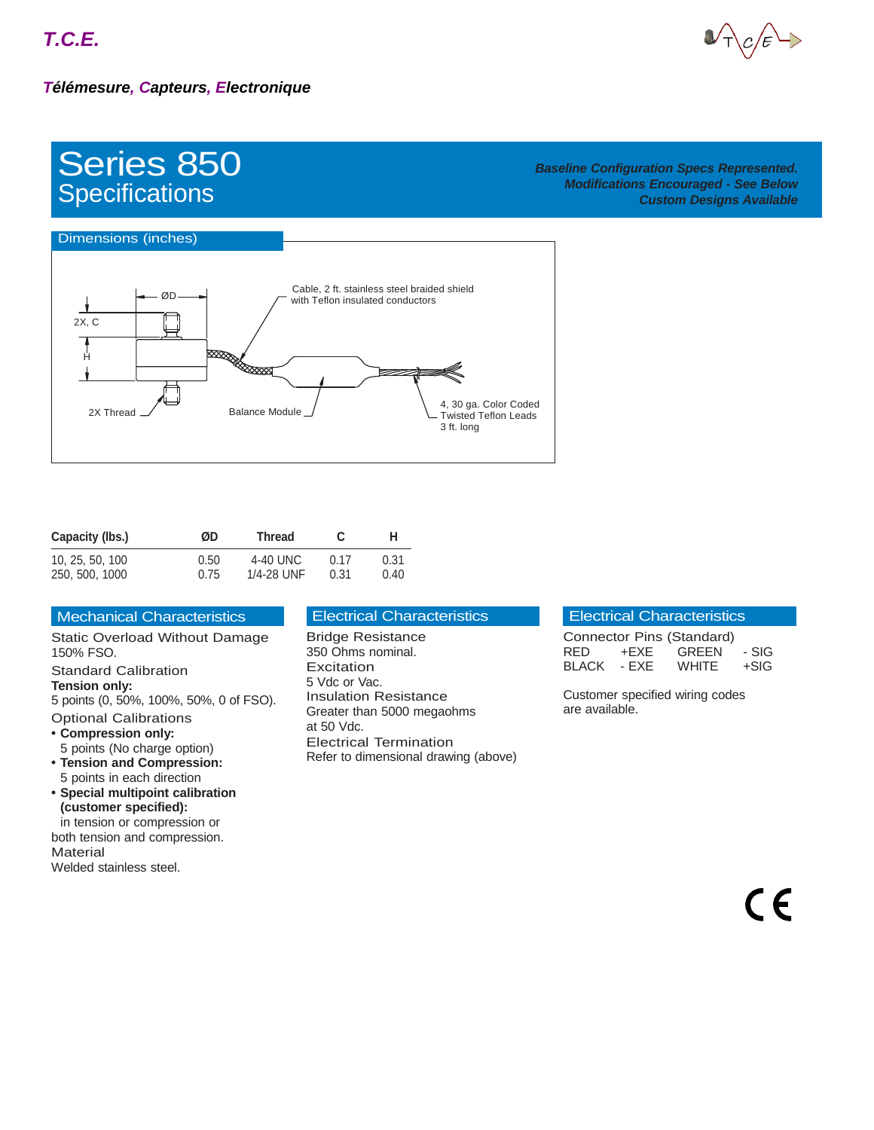

## Series 850 **Specifications**

#### *Baseline Configuration Specs Represented. Modifications Encouraged - See Below Custom Designs Available*



| Capacity (lbs.) | ØD   | Thread     |      | н    |
|-----------------|------|------------|------|------|
| 10, 25, 50, 100 | 0.50 | 4-40 UNC   | በ 17 | 0.31 |
| 250, 500, 1000  | 0.75 | 1/4-28 UNF | 0.31 | 0.40 |

| <b>Mechanical Characteristics</b> |
|-----------------------------------|
|                                   |

Static Overload Without Damage 150% FSO. Standard Calibration **Tension only:** 5 points (0, 50%, 100%, 50%, 0 of FSO). Optional Calibrations **• Compression only:** 5 points (No charge option) **• Tension and Compression:** 5 points in each direction **• Special multipoint calibration (customer specified):**

in tension or compression or both tension and compression. **Material** Welded stainless steel.

#### Electrical Characteristics

Bridge Resistance 350 Ohms nominal. Excitation 5 Vdc or Vac. Insulation Resistance Greater than 5000 megaohms at 50 Vdc. Electrical Termination Refer to dimensional drawing (above)

#### Electrical Characteristics

| Connector Pins (Standard) |        |              |       |
|---------------------------|--------|--------------|-------|
| RED.                      | +FXF - | <b>GREEN</b> | - SIG |
| <b>BLACK</b>              | - FXF  | <b>WHITE</b> | +SIG  |

Customer specified wiring codes are available.